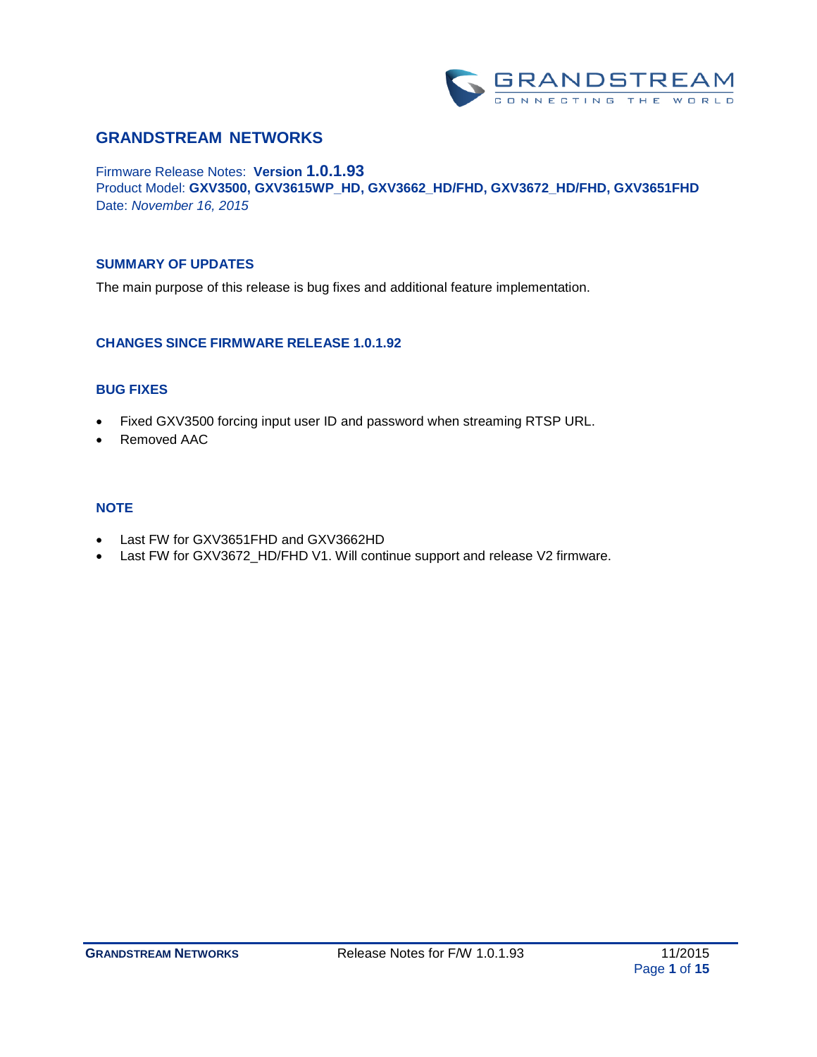

# **GRANDSTREAM NETWORKS**

Firmware Release Notes: **Version 1.0.1.93** Product Model: **GXV3500, GXV3615WP\_HD, GXV3662\_HD/FHD, GXV3672\_HD/FHD, GXV3651FHD** Date: *November 16, 2015*

#### **SUMMARY OF UPDATES**

The main purpose of this release is bug fixes and additional feature implementation.

#### **CHANGES SINCE FIRMWARE RELEASE 1.0.1.92**

## **BUG FIXES**

- Fixed GXV3500 forcing input user ID and password when streaming RTSP URL.
- Removed AAC

#### **NOTE**

- Last FW for GXV3651FHD and GXV3662HD
- Last FW for GXV3672\_HD/FHD V1. Will continue support and release V2 firmware.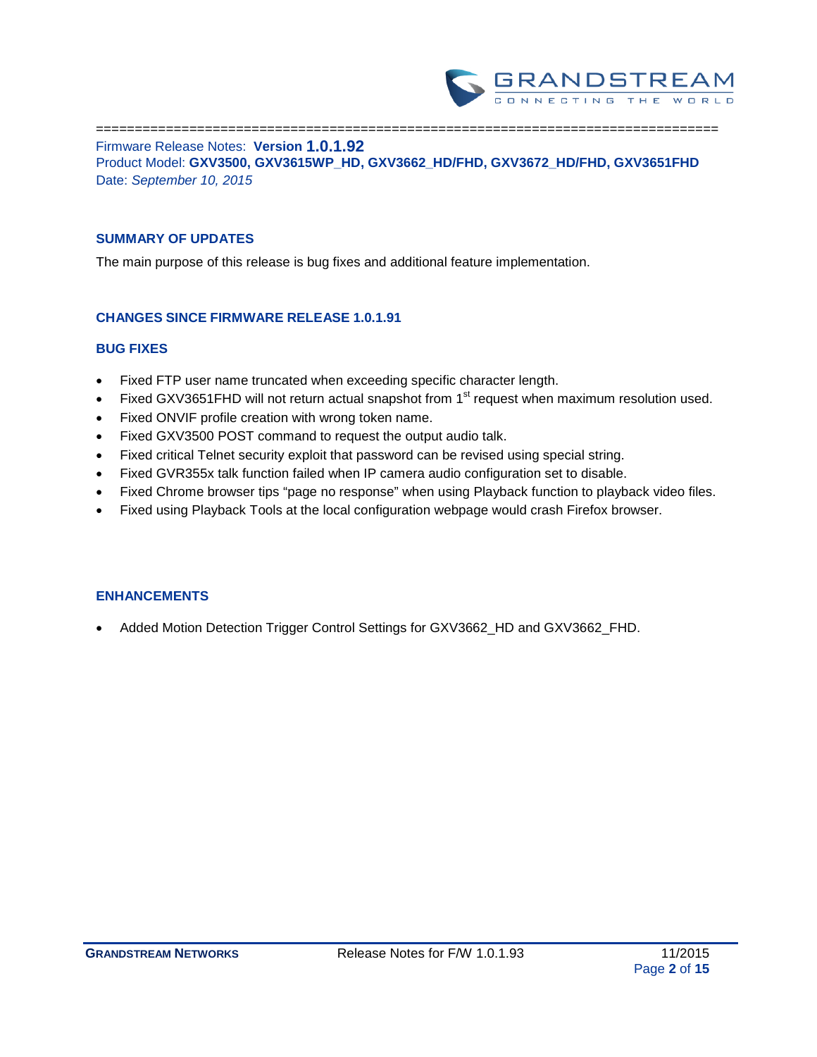

================================================================================ Firmware Release Notes: **Version 1.0.1.92** Product Model: **GXV3500, GXV3615WP\_HD, GXV3662\_HD/FHD, GXV3672\_HD/FHD, GXV3651FHD** Date: *September 10, 2015*

### **SUMMARY OF UPDATES**

The main purpose of this release is bug fixes and additional feature implementation.

### **CHANGES SINCE FIRMWARE RELEASE 1.0.1.91**

### **BUG FIXES**

- Fixed FTP user name truncated when exceeding specific character length.
- Fixed GXV3651FHD will not return actual snapshot from 1<sup>st</sup> request when maximum resolution used.
- Fixed ONVIF profile creation with wrong token name.
- Fixed GXV3500 POST command to request the output audio talk.
- Fixed critical Telnet security exploit that password can be revised using special string.
- Fixed GVR355x talk function failed when IP camera audio configuration set to disable.
- Fixed Chrome browser tips "page no response" when using Playback function to playback video files.
- Fixed using Playback Tools at the local configuration webpage would crash Firefox browser.

### **ENHANCEMENTS**

• Added Motion Detection Trigger Control Settings for GXV3662\_HD and GXV3662\_FHD.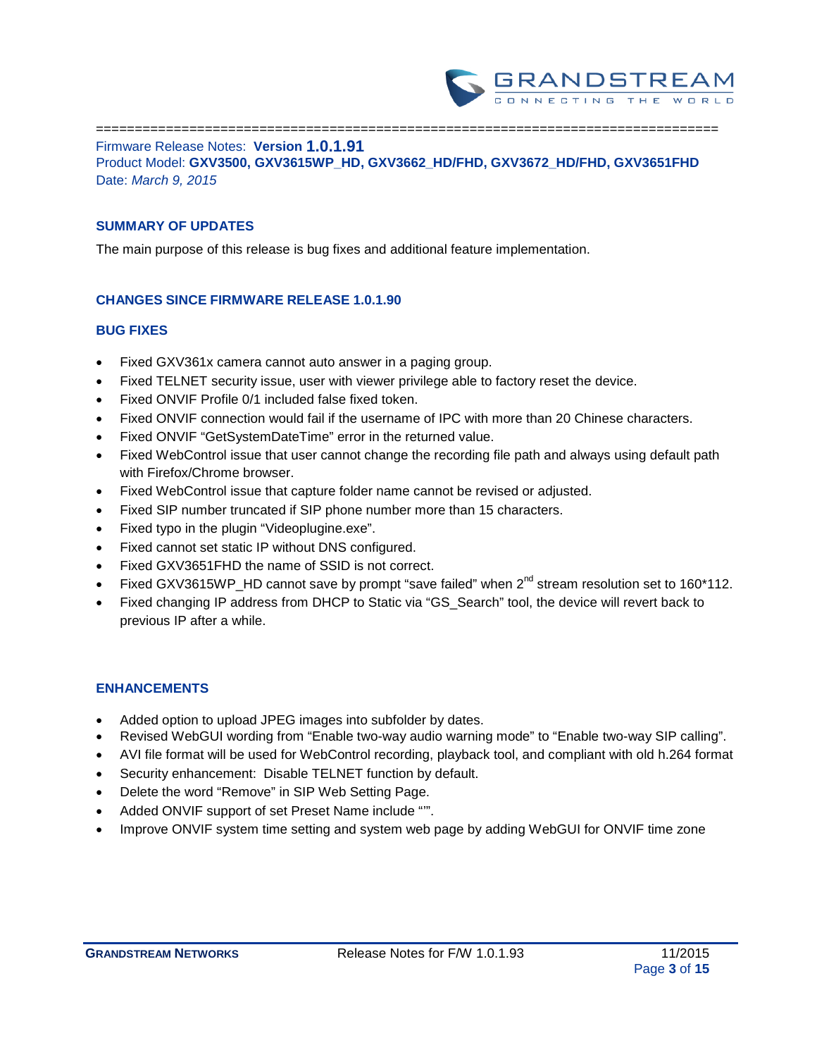

================================================================================ Firmware Release Notes: **Version 1.0.1.91** Product Model: **GXV3500, GXV3615WP\_HD, GXV3662\_HD/FHD, GXV3672\_HD/FHD, GXV3651FHD** Date: *March 9, 2015*

### **SUMMARY OF UPDATES**

The main purpose of this release is bug fixes and additional feature implementation.

### **CHANGES SINCE FIRMWARE RELEASE 1.0.1.90**

#### **BUG FIXES**

- Fixed GXV361x camera cannot auto answer in a paging group.
- Fixed TELNET security issue, user with viewer privilege able to factory reset the device.
- Fixed ONVIF Profile 0/1 included false fixed token.
- Fixed ONVIF connection would fail if the username of IPC with more than 20 Chinese characters.
- Fixed ONVIF "GetSystemDateTime" error in the returned value.
- Fixed WebControl issue that user cannot change the recording file path and always using default path with Firefox/Chrome browser.
- Fixed WebControl issue that capture folder name cannot be revised or adjusted.
- Fixed SIP number truncated if SIP phone number more than 15 characters.
- Fixed typo in the plugin "Videoplugine.exe".
- Fixed cannot set static IP without DNS configured.
- Fixed GXV3651FHD the name of SSID is not correct.
- Fixed GXV3615WP\_HD cannot save by prompt "save failed" when 2<sup>nd</sup> stream resolution set to 160\*112.
- Fixed changing IP address from DHCP to Static via "GS\_Search" tool, the device will revert back to previous IP after a while.

- Added option to upload JPEG images into subfolder by dates.
- Revised WebGUI wording from "Enable two-way audio warning mode" to "Enable two-way SIP calling".
- AVI file format will be used for WebControl recording, playback tool, and compliant with old h.264 format
- Security enhancement: Disable TELNET function by default.
- Delete the word "Remove" in SIP Web Setting Page.
- Added ONVIF support of set Preset Name include "".
- Improve ONVIF system time setting and system web page by adding WebGUI for ONVIF time zone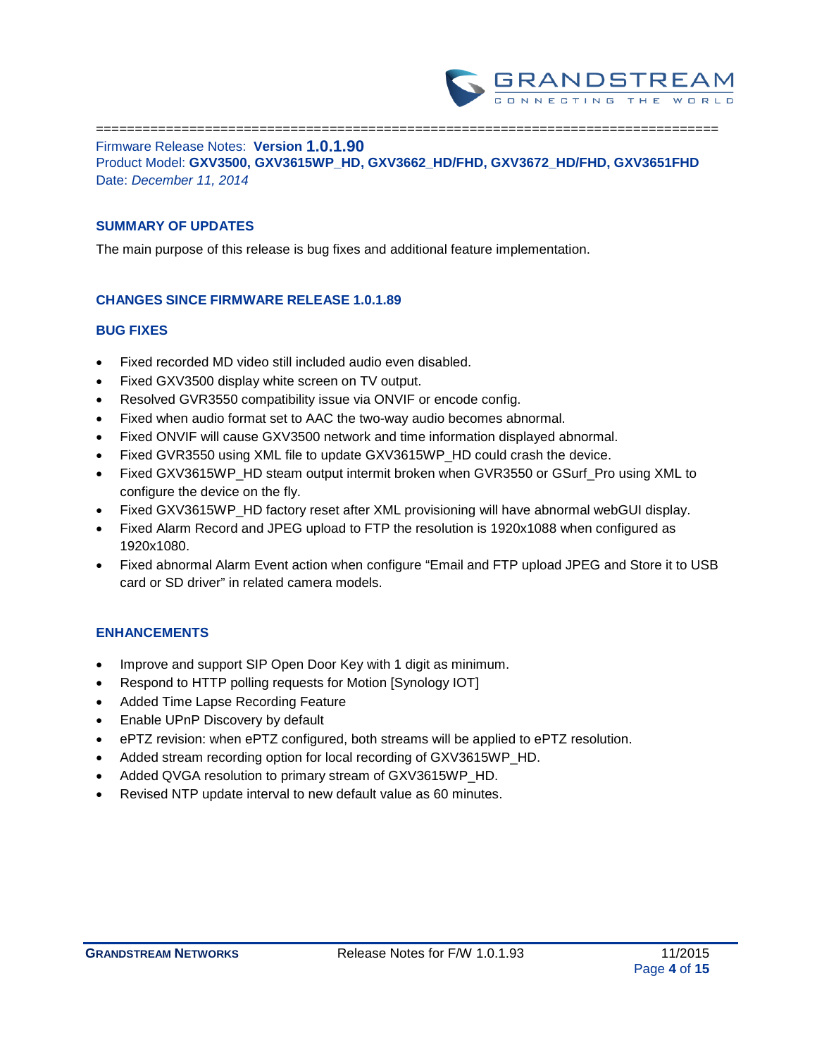

================================================================================ Firmware Release Notes: **Version 1.0.1.90** Product Model: **GXV3500, GXV3615WP\_HD, GXV3662\_HD/FHD, GXV3672\_HD/FHD, GXV3651FHD** Date: *December 11, 2014*

### **SUMMARY OF UPDATES**

The main purpose of this release is bug fixes and additional feature implementation.

### **CHANGES SINCE FIRMWARE RELEASE 1.0.1.89**

#### **BUG FIXES**

- Fixed recorded MD video still included audio even disabled.
- Fixed GXV3500 display white screen on TV output.
- Resolved GVR3550 compatibility issue via ONVIF or encode config.
- Fixed when audio format set to AAC the two-way audio becomes abnormal.
- Fixed ONVIF will cause GXV3500 network and time information displayed abnormal.
- Fixed GVR3550 using XML file to update GXV3615WP\_HD could crash the device.
- Fixed GXV3615WP\_HD steam output intermit broken when GVR3550 or GSurf\_Pro using XML to configure the device on the fly.
- Fixed GXV3615WP\_HD factory reset after XML provisioning will have abnormal webGUI display.
- Fixed Alarm Record and JPEG upload to FTP the resolution is 1920x1088 when configured as 1920x1080.
- Fixed abnormal Alarm Event action when configure "Email and FTP upload JPEG and Store it to USB card or SD driver" in related camera models.

- Improve and support SIP Open Door Key with 1 digit as minimum.
- Respond to HTTP polling requests for Motion [Synology IOT]
- Added Time Lapse Recording Feature
- Enable UPnP Discovery by default
- ePTZ revision: when ePTZ configured, both streams will be applied to ePTZ resolution.
- Added stream recording option for local recording of GXV3615WP\_HD.
- Added QVGA resolution to primary stream of GXV3615WP\_HD.
- Revised NTP update interval to new default value as 60 minutes.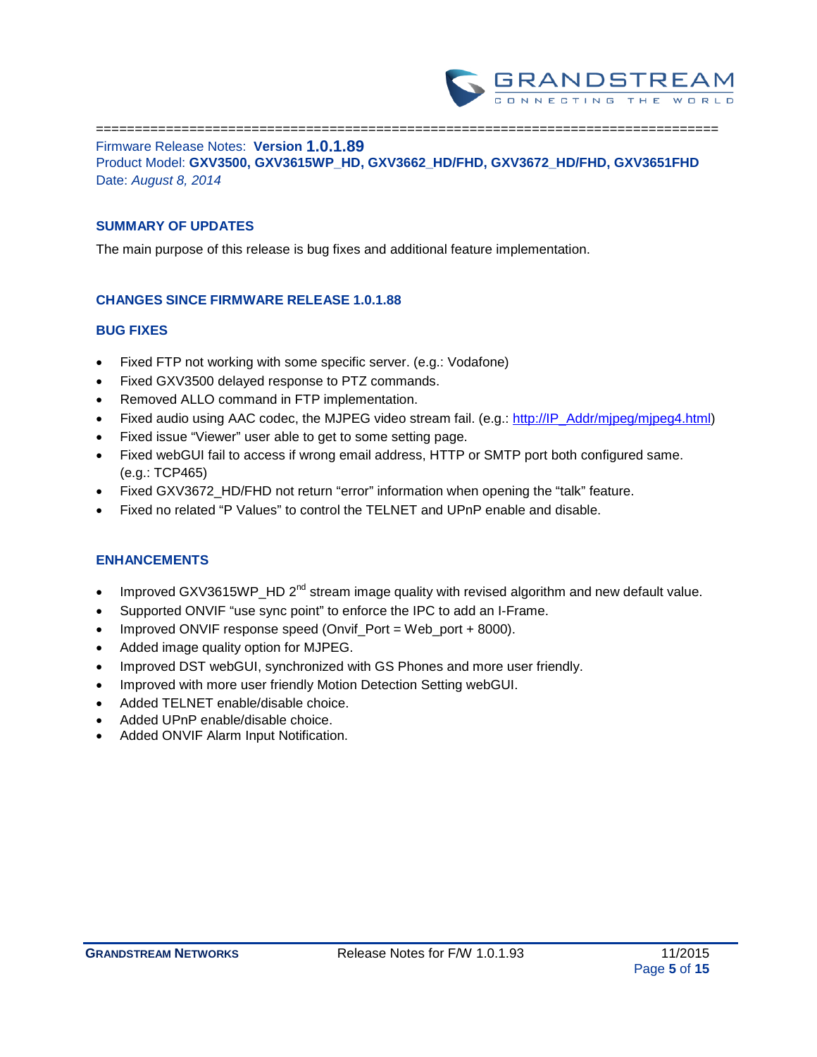

================================================================================ Firmware Release Notes: **Version 1.0.1.89** Product Model: **GXV3500, GXV3615WP\_HD, GXV3662\_HD/FHD, GXV3672\_HD/FHD, GXV3651FHD** Date: *August 8, 2014*

### **SUMMARY OF UPDATES**

The main purpose of this release is bug fixes and additional feature implementation.

### **CHANGES SINCE FIRMWARE RELEASE 1.0.1.88**

#### **BUG FIXES**

- Fixed FTP not working with some specific server. (e.g.: Vodafone)
- Fixed GXV3500 delayed response to PTZ commands.
- Removed ALLO command in FTP implementation.
- Fixed audio using AAC codec, the MJPEG video stream fail. (e.g.: [http://IP\\_Addr/mjpeg/mjpeg4.html\)](http://ip_addr/mjpeg/mjpeg4.html)
- Fixed issue "Viewer" user able to get to some setting page.
- Fixed webGUI fail to access if wrong email address, HTTP or SMTP port both configured same. (e.g.: TCP465)
- Fixed GXV3672\_HD/FHD not return "error" information when opening the "talk" feature.
- Fixed no related "P Values" to control the TELNET and UPnP enable and disable.

- Improved GXV3615WP\_HD 2<sup>nd</sup> stream image quality with revised algorithm and new default value.
- Supported ONVIF "use sync point" to enforce the IPC to add an I-Frame.
- Improved ONVIF response speed (Onvif\_Port = Web\_port + 8000).
- Added image quality option for MJPEG.
- Improved DST webGUI, synchronized with GS Phones and more user friendly.
- Improved with more user friendly Motion Detection Setting webGUI.
- Added TELNET enable/disable choice.
- Added UPnP enable/disable choice.
- Added ONVIF Alarm Input Notification.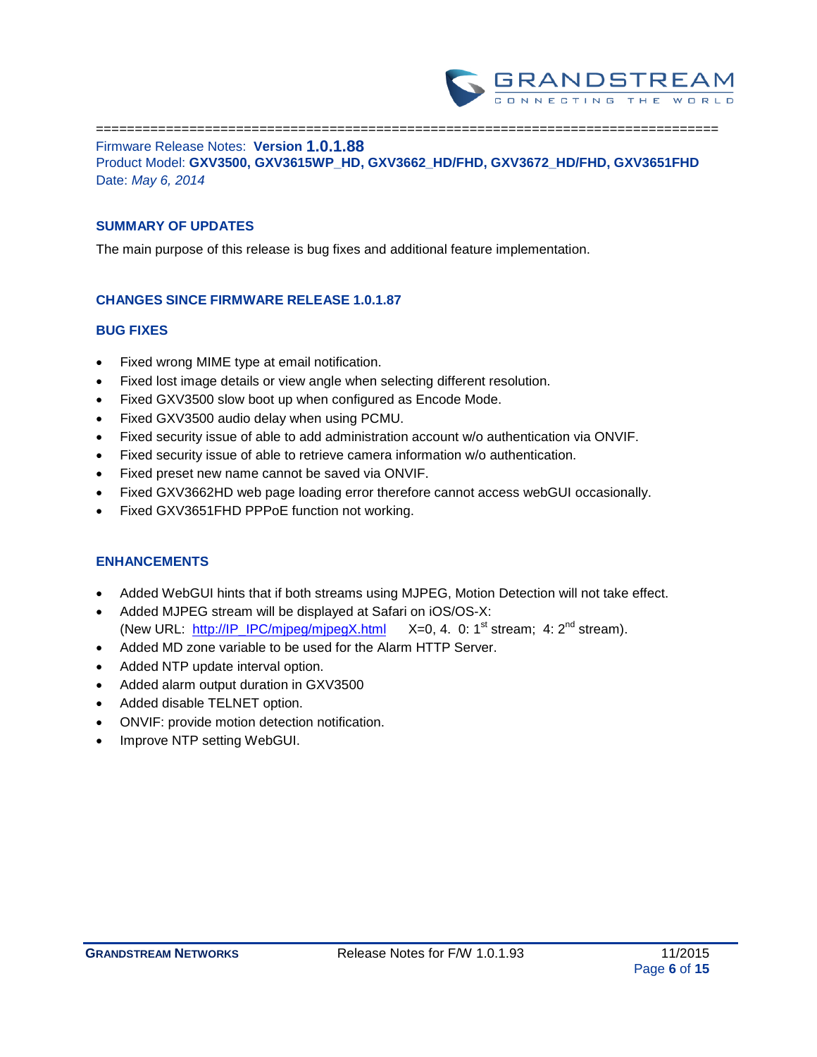

================================================================================ Firmware Release Notes: **Version 1.0.1.88** Product Model: **GXV3500, GXV3615WP\_HD, GXV3662\_HD/FHD, GXV3672\_HD/FHD, GXV3651FHD** Date: *May 6, 2014*

### **SUMMARY OF UPDATES**

The main purpose of this release is bug fixes and additional feature implementation.

### **CHANGES SINCE FIRMWARE RELEASE 1.0.1.87**

#### **BUG FIXES**

- Fixed wrong MIME type at email notification.
- Fixed lost image details or view angle when selecting different resolution.
- Fixed GXV3500 slow boot up when configured as Encode Mode.
- Fixed GXV3500 audio delay when using PCMU.
- Fixed security issue of able to add administration account w/o authentication via ONVIF.
- Fixed security issue of able to retrieve camera information w/o authentication.
- Fixed preset new name cannot be saved via ONVIF.
- Fixed GXV3662HD web page loading error therefore cannot access webGUI occasionally.
- Fixed GXV3651FHD PPPoE function not working.

- Added WebGUI hints that if both streams using MJPEG, Motion Detection will not take effect.
- Added MJPEG stream will be displayed at Safari on iOS/OS-X: (New URL: [http://IP\\_IPC/mjpeg/mjpegX.html](http://ip_ipc/mjpeg/mjpegX.html)  $X=0$ , 4. 0: 1<sup>st</sup> stream; 4: 2<sup>nd</sup> stream).
- Added MD zone variable to be used for the Alarm HTTP Server.
- Added NTP update interval option.
- Added alarm output duration in GXV3500
- Added disable TELNET option.
- ONVIF: provide motion detection notification.
- Improve NTP setting WebGUI.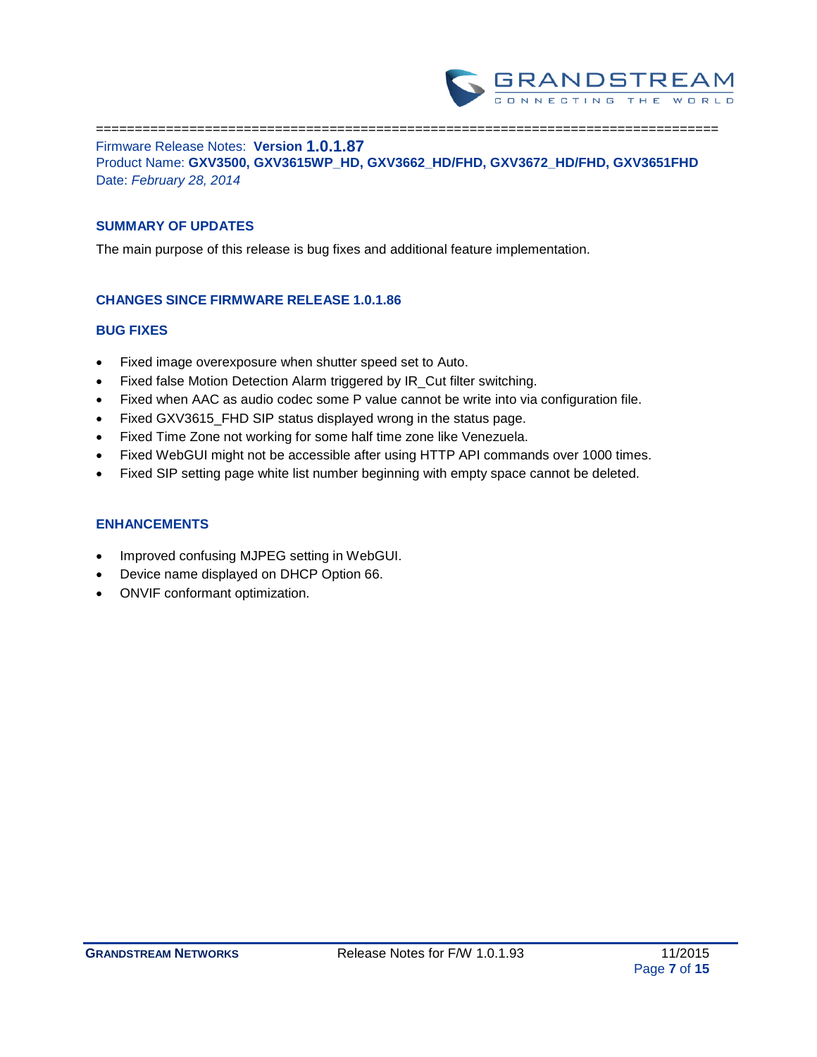

================================================================================ Firmware Release Notes: **Version 1.0.1.87** Product Name: **GXV3500, GXV3615WP\_HD, GXV3662\_HD/FHD, GXV3672\_HD/FHD, GXV3651FHD** Date: *February 28, 2014*

### **SUMMARY OF UPDATES**

The main purpose of this release is bug fixes and additional feature implementation.

### **CHANGES SINCE FIRMWARE RELEASE 1.0.1.86**

#### **BUG FIXES**

- Fixed image overexposure when shutter speed set to Auto.
- Fixed false Motion Detection Alarm triggered by IR\_Cut filter switching.
- Fixed when AAC as audio codec some P value cannot be write into via configuration file.
- Fixed GXV3615\_FHD SIP status displayed wrong in the status page.
- Fixed Time Zone not working for some half time zone like Venezuela.
- Fixed WebGUI might not be accessible after using HTTP API commands over 1000 times.
- Fixed SIP setting page white list number beginning with empty space cannot be deleted.

- Improved confusing MJPEG setting in WebGUI.
- Device name displayed on DHCP Option 66.
- ONVIF conformant optimization.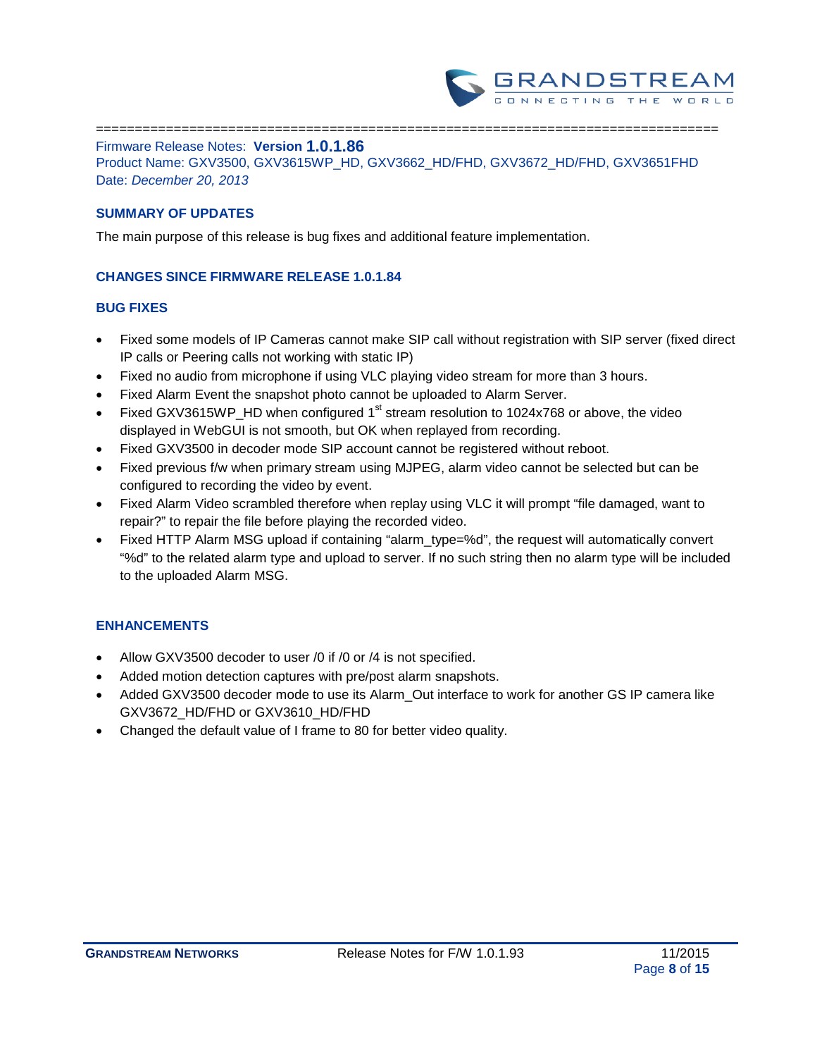

================================================================================ Firmware Release Notes: **Version 1.0.1.86**

Product Name: GXV3500, GXV3615WP\_HD, GXV3662\_HD/FHD, GXV3672\_HD/FHD, GXV3651FHD Date: *December 20, 2013*

### **SUMMARY OF UPDATES**

The main purpose of this release is bug fixes and additional feature implementation.

### **CHANGES SINCE FIRMWARE RELEASE 1.0.1.84**

### **BUG FIXES**

- Fixed some models of IP Cameras cannot make SIP call without registration with SIP server (fixed direct IP calls or Peering calls not working with static IP)
- Fixed no audio from microphone if using VLC playing video stream for more than 3 hours.
- Fixed Alarm Event the snapshot photo cannot be uploaded to Alarm Server.
- Fixed GXV3615WP HD when configured 1<sup>st</sup> stream resolution to 1024x768 or above, the video displayed in WebGUI is not smooth, but OK when replayed from recording.
- Fixed GXV3500 in decoder mode SIP account cannot be registered without reboot.
- Fixed previous f/w when primary stream using MJPEG, alarm video cannot be selected but can be configured to recording the video by event.
- Fixed Alarm Video scrambled therefore when replay using VLC it will prompt "file damaged, want to repair?" to repair the file before playing the recorded video.
- Fixed HTTP Alarm MSG upload if containing "alarm\_type=%d", the request will automatically convert "%d" to the related alarm type and upload to server. If no such string then no alarm type will be included to the uploaded Alarm MSG.

- Allow GXV3500 decoder to user /0 if /0 or /4 is not specified.
- Added motion detection captures with pre/post alarm snapshots.
- Added GXV3500 decoder mode to use its Alarm\_Out interface to work for another GS IP camera like GXV3672\_HD/FHD or GXV3610\_HD/FHD
- Changed the default value of I frame to 80 for better video quality.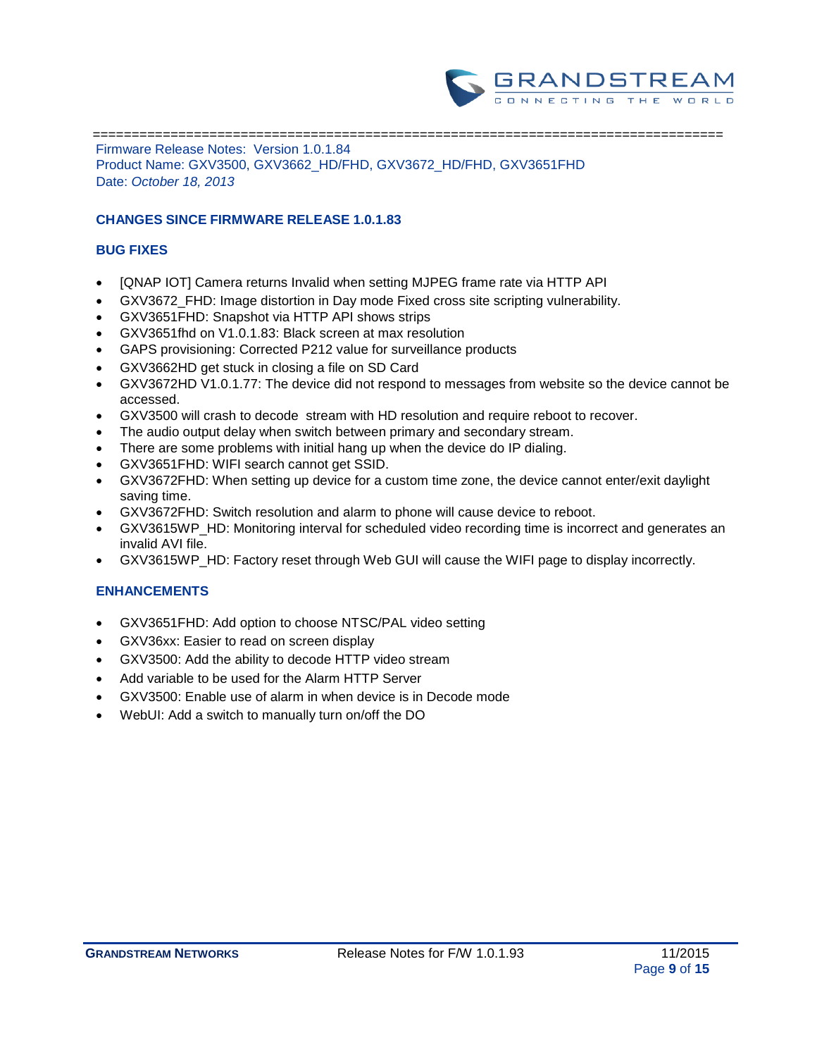

 ================================================================================= Firmware Release Notes: Version 1.0.1.84 Product Name: GXV3500, GXV3662\_HD/FHD, GXV3672\_HD/FHD, GXV3651FHD Date: *October 18, 2013*

### **CHANGES SINCE FIRMWARE RELEASE 1.0.1.83**

### **BUG FIXES**

- [QNAP IOT] Camera returns Invalid when setting MJPEG frame rate via HTTP API
- GXV3672 FHD: Image distortion in Day mode Fixed cross site scripting vulnerability.
- GXV3651FHD: Snapshot via HTTP API shows strips
- GXV3651fhd on V1.0.1.83: Black screen at max resolution
- GAPS provisioning: Corrected P212 value for surveillance products
- GXV3662HD get stuck in closing a file on SD Card
- GXV3672HD V1.0.1.77: The device did not respond to messages from website so the device cannot be accessed.
- GXV3500 will crash to decode stream with HD resolution and require reboot to recover.
- The audio output delay when switch between primary and secondary stream.
- There are some problems with initial hang up when the device do IP dialing.
- GXV3651FHD: WIFI search cannot get SSID.
- GXV3672FHD: When setting up device for a custom time zone, the device cannot enter/exit daylight saving time.
- GXV3672FHD: Switch resolution and alarm to phone will cause device to reboot.
- GXV3615WP\_HD: Monitoring interval for scheduled video recording time is incorrect and generates an invalid AVI file.
- GXV3615WP\_HD: Factory reset through Web GUI will cause the WIFI page to display incorrectly.

- GXV3651FHD: Add option to choose NTSC/PAL video setting
- GXV36xx: Easier to read on screen display
- GXV3500: Add the ability to decode HTTP video stream
- Add variable to be used for the Alarm HTTP Server
- GXV3500: Enable use of alarm in when device is in Decode mode
- WebUI: Add a switch to manually turn on/off the DO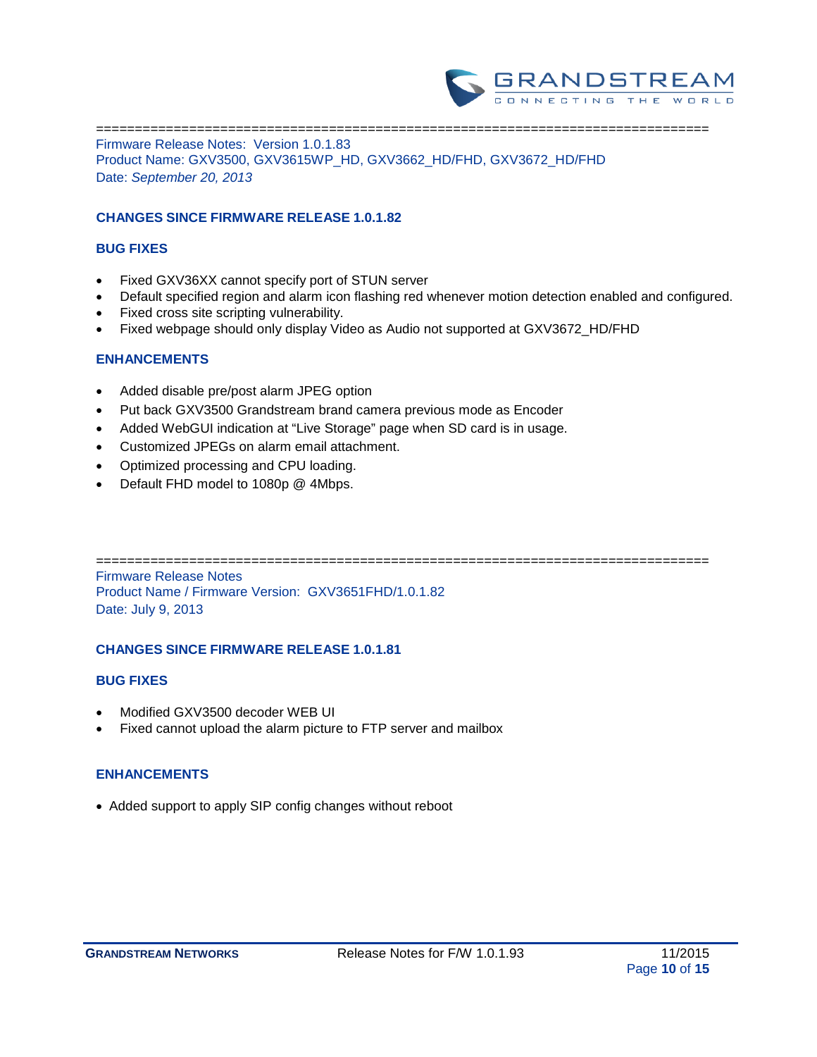

=============================================================================== Firmware Release Notes: Version 1.0.1.83 Product Name: GXV3500, GXV3615WP\_HD, GXV3662\_HD/FHD, GXV3672\_HD/FHD Date: *September 20, 2013*

### **CHANGES SINCE FIRMWARE RELEASE 1.0.1.82**

#### **BUG FIXES**

- Fixed GXV36XX cannot specify port of STUN server
- Default specified region and alarm icon flashing red whenever motion detection enabled and configured.
- Fixed cross site scripting vulnerability.
- Fixed webpage should only display Video as Audio not supported at GXV3672\_HD/FHD

### **ENHANCEMENTS**

- Added disable pre/post alarm JPEG option
- Put back GXV3500 Grandstream brand camera previous mode as Encoder
- Added WebGUI indication at "Live Storage" page when SD card is in usage.
- Customized JPEGs on alarm email attachment.
- Optimized processing and CPU loading.
- Default FHD model to 1080p @ 4Mbps.

===============================================================================

Firmware Release Notes Product Name / Firmware Version: GXV3651FHD/1.0.1.82 Date: July 9, 2013

### **CHANGES SINCE FIRMWARE RELEASE 1.0.1.81**

### **BUG FIXES**

- Modified GXV3500 decoder WEB UI
- Fixed cannot upload the alarm picture to FTP server and mailbox

### **ENHANCEMENTS**

• Added support to apply SIP config changes without reboot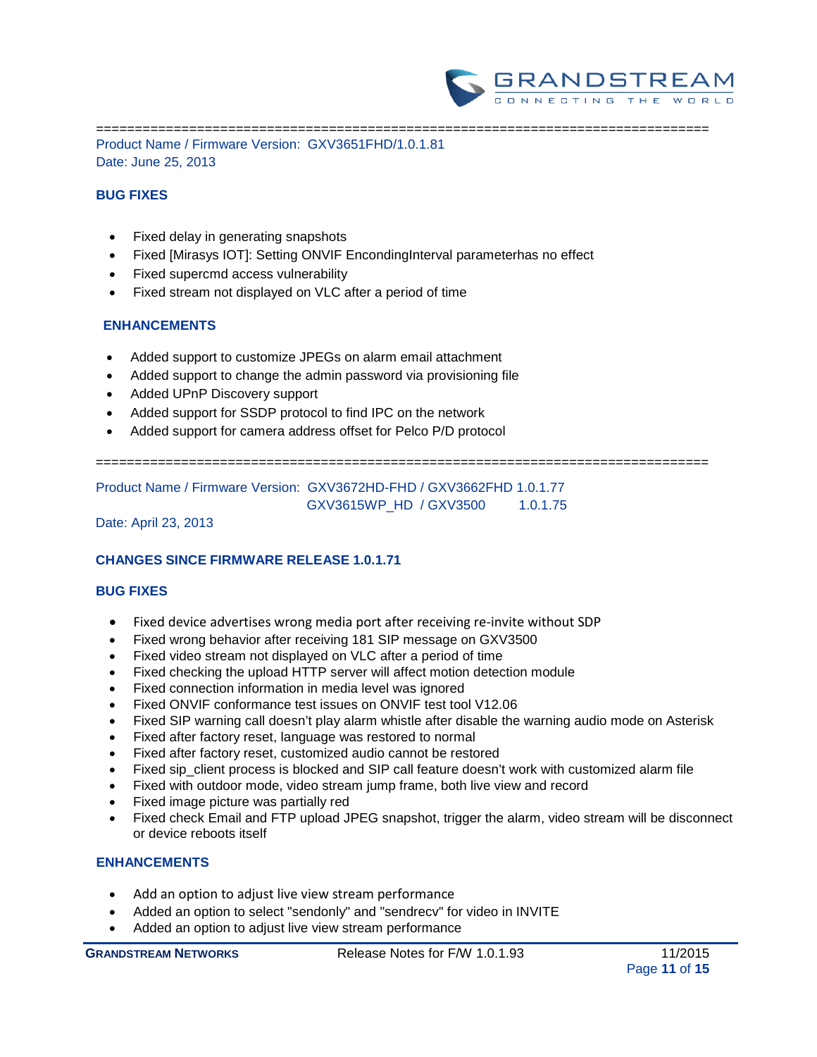

=============================================================================== Product Name / Firmware Version: GXV3651FHD/1.0.1.81 Date: June 25, 2013

### **BUG FIXES**

- Fixed delay in generating snapshots
- Fixed [Mirasys IOT]: Setting ONVIF EncondingInterval parameterhas no effect
- Fixed supercmd access vulnerability
- Fixed stream not displayed on VLC after a period of time

## **ENHANCEMENTS**

- Added support to customize JPEGs on alarm email attachment
- Added support to change the admin password via provisioning file
- Added UPnP Discovery support
- Added support for SSDP protocol to find IPC on the network
- Added support for camera address offset for Pelco P/D protocol

===============================================================================

Product Name / Firmware Version: GXV3672HD-FHD / GXV3662FHD 1.0.1.77

GXV3615WP\_HD / GXV3500 1.0.1.75

### Date: April 23, 2013

### **CHANGES SINCE FIRMWARE RELEASE 1.0.1.71**

#### **BUG FIXES**

- Fixed device advertises wrong media port after receiving re-invite without SDP
- Fixed wrong behavior after receiving 181 SIP message on GXV3500
- Fixed video stream not displayed on VLC after a period of time
- Fixed checking the upload HTTP server will affect motion detection module
- Fixed connection information in media level was ignored
- Fixed ONVIF conformance test issues on ONVIF test tool V12.06
- Fixed SIP warning call doesn't play alarm whistle after disable the warning audio mode on Asterisk
- Fixed after factory reset, language was restored to normal
- Fixed after factory reset, customized audio cannot be restored
- Fixed sip\_client process is blocked and SIP call feature doesn't work with customized alarm file
- Fixed with outdoor mode, video stream jump frame, both live view and record
- Fixed image picture was partially red
- Fixed check Email and FTP upload JPEG snapshot, trigger the alarm, video stream will be disconnect or device reboots itself

- Add an option to adjust live view stream performance
- Added an option to select "sendonly" and "sendrecv" for video in INVITE
- Added an option to adjust live view stream performance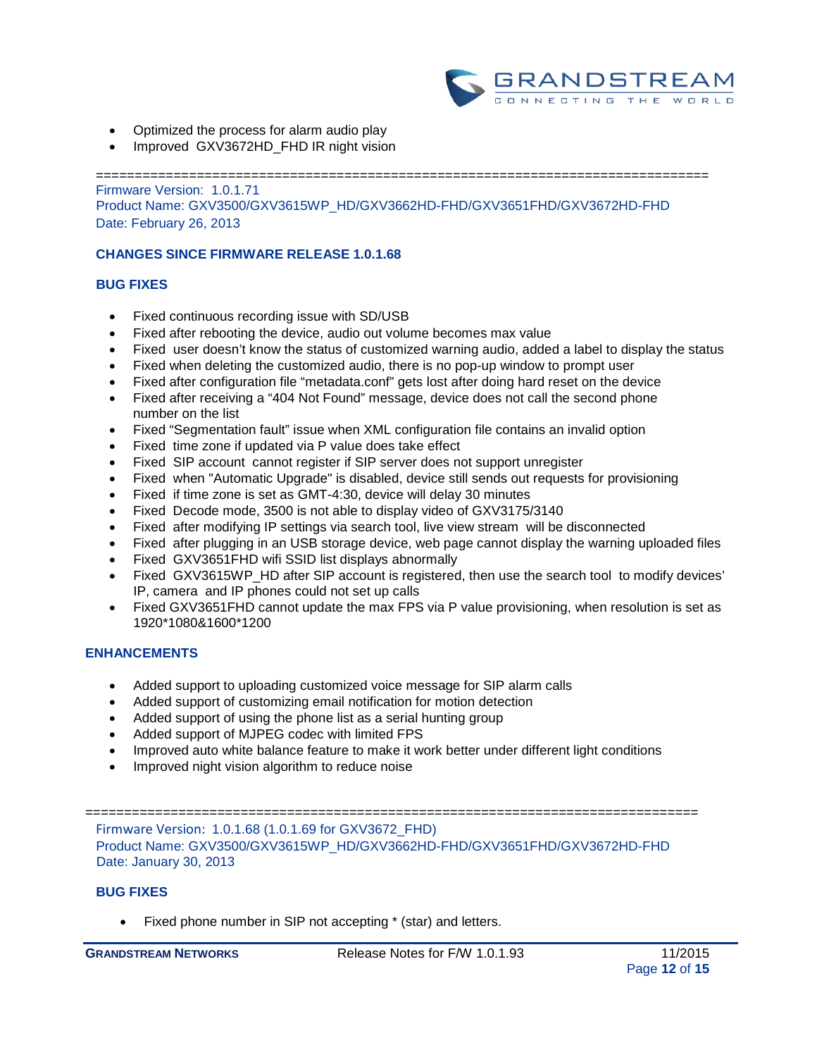

- Optimized the process for alarm audio play
- Improved GXV3672HD\_FHD IR night vision

=============================================================================== Firmware Version: 1.0.1.71 Product Name: GXV3500/GXV3615WP\_HD/GXV3662HD-FHD/GXV3651FHD/GXV3672HD-FHD Date: February 26, 2013

### **CHANGES SINCE FIRMWARE RELEASE 1.0.1.68**

#### **BUG FIXES**

- Fixed continuous recording issue with SD/USB
- Fixed after rebooting the device, audio out volume becomes max value
- Fixed user doesn't know the status of customized warning audio, added a label to display the status
- Fixed when deleting the customized audio, there is no pop-up window to prompt user
- Fixed after configuration file "metadata.conf" gets lost after doing hard reset on the device
- Fixed after receiving a "404 Not Found" message, device does not call the second phone number on the list
- Fixed "Segmentation fault" issue when XML configuration file contains an invalid option
- Fixed time zone if updated via P value does take effect
- Fixed SIP account cannot register if SIP server does not support unregister
- Fixed when "Automatic Upgrade" is disabled, device still sends out requests for provisioning
- Fixed if time zone is set as GMT-4:30, device will delay 30 minutes
- Fixed Decode mode, 3500 is not able to display video of GXV3175/3140
- Fixed after modifying IP settings via search tool, live view stream will be disconnected
- Fixed after plugging in an USB storage device, web page cannot display the warning uploaded files
- Fixed GXV3651FHD wifi SSID list displays abnormally
- Fixed GXV3615WP\_HD after SIP account is registered, then use the search tool to modify devices' IP, camera and IP phones could not set up calls
- Fixed GXV3651FHD cannot update the max FPS via P value provisioning, when resolution is set as 1920\*1080&1600\*1200

### **ENHANCEMENTS**

- Added support to uploading customized voice message for SIP alarm calls
- Added support of customizing email notification for motion detection
- Added support of using the phone list as a serial hunting group
- Added support of MJPEG codec with limited FPS
- Improved auto white balance feature to make it work better under different light conditions
- Improved night vision algorithm to reduce noise

=============================================================================== Firmware Version: 1.0.1.68 (1.0.1.69 for GXV3672\_FHD) Product Name: GXV3500/GXV3615WP\_HD/GXV3662HD-FHD/GXV3651FHD/GXV3672HD-FHD Date: January 30, 2013

### **BUG FIXES**

• Fixed phone number in SIP not accepting \* (star) and letters.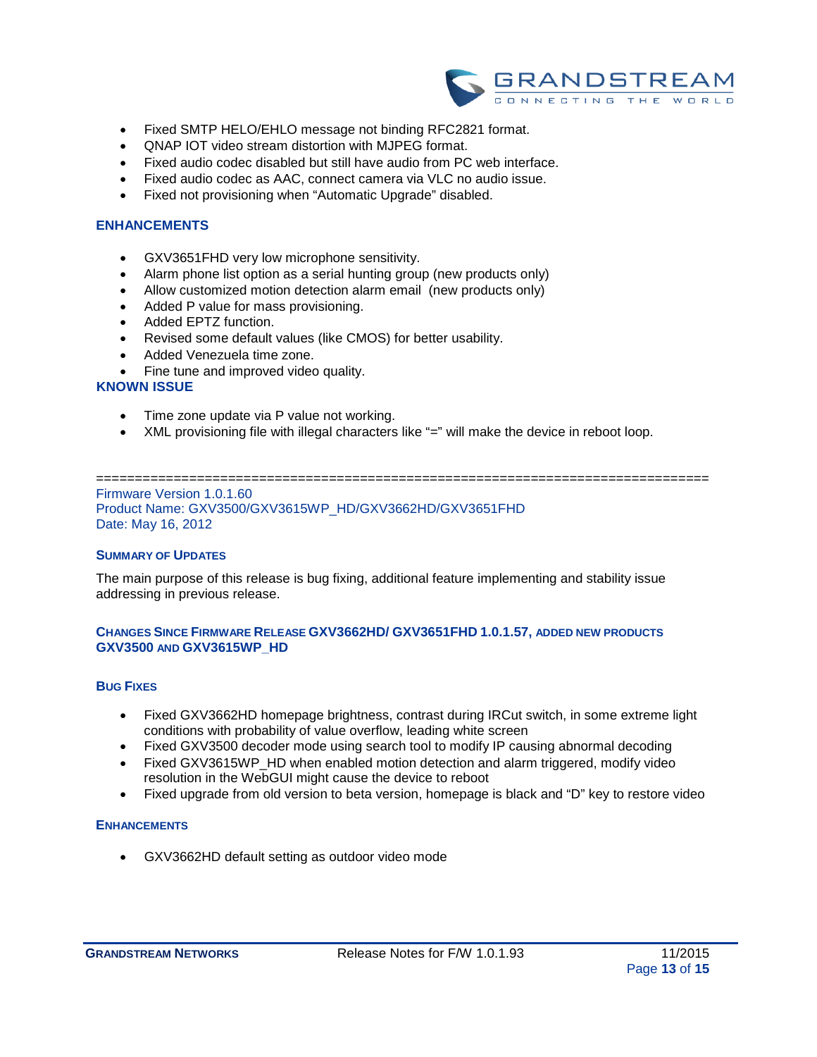

- Fixed SMTP HELO/EHLO message not binding RFC2821 format.
- QNAP IOT video stream distortion with MJPEG format.
- Fixed audio codec disabled but still have audio from PC web interface.
- Fixed audio codec as AAC, connect camera via VLC no audio issue.
- Fixed not provisioning when "Automatic Upgrade" disabled.

#### **ENHANCEMENTS**

- GXV3651FHD very low microphone sensitivity.
- Alarm phone list option as a serial hunting group (new products only)
- Allow customized motion detection alarm email (new products only)
- Added P value for mass provisioning.
- Added EPTZ function.
- Revised some default values (like CMOS) for better usability.
- Added Venezuela time zone.
- Fine tune and improved video quality.

#### **KNOWN ISSUE**

- Time zone update via P value not working.
- XML provisioning file with illegal characters like "=" will make the device in reboot loop.

#### =============================================================================== Firmware Version 1.0.1.60 Product Name: GXV3500/GXV3615WP\_HD/GXV3662HD/GXV3651FHD

Date: May 16, 2012

#### **SUMMARY OF UPDATES**

The main purpose of this release is bug fixing, additional feature implementing and stability issue addressing in previous release.

### **CHANGES SINCE FIRMWARE RELEASE GXV3662HD/ GXV3651FHD 1.0.1.57, ADDED NEW PRODUCTS GXV3500 AND GXV3615WP\_HD**

#### **BUG FIXES**

- Fixed GXV3662HD homepage brightness, contrast during IRCut switch, in some extreme light conditions with probability of value overflow, leading white screen
- Fixed GXV3500 decoder mode using search tool to modify IP causing abnormal decoding
- Fixed GXV3615WP\_HD when enabled motion detection and alarm triggered, modify video resolution in the WebGUI might cause the device to reboot
- Fixed upgrade from old version to beta version, homepage is black and "D" key to restore video

#### **ENHANCEMENTS**

• GXV3662HD default setting as outdoor video mode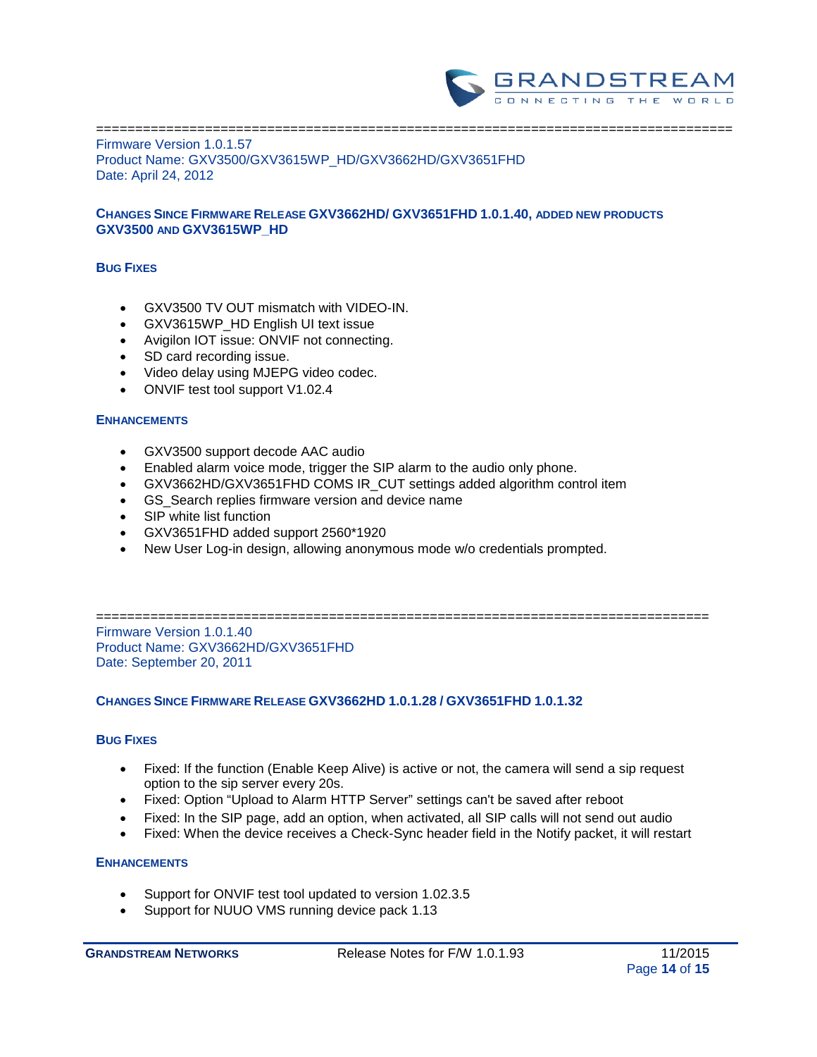

#### ================================================================================== Firmware Version 1.0.1.57 Product Name: GXV3500/GXV3615WP\_HD/GXV3662HD/GXV3651FHD Date: April 24, 2012

### **CHANGES SINCE FIRMWARE RELEASE GXV3662HD/ GXV3651FHD 1.0.1.40, ADDED NEW PRODUCTS GXV3500 AND GXV3615WP\_HD**

### **BUG FIXES**

- GXV3500 TV OUT mismatch with VIDEO-IN.
- GXV3615WP\_HD English UI text issue
- Avigilon IOT issue: ONVIF not connecting.
- SD card recording issue.
- Video delay using MJEPG video codec.
- ONVIF test tool support V1.02.4

### **ENHANCEMENTS**

- GXV3500 support decode AAC audio
- Enabled alarm voice mode, trigger the SIP alarm to the audio only phone.
- GXV3662HD/GXV3651FHD COMS IR\_CUT settings added algorithm control item
- GS\_Search replies firmware version and device name
- SIP white list function
- GXV3651FHD added support 2560\*1920
- New User Log-in design, allowing anonymous mode w/o credentials prompted.

=============================================================================== Firmware Version 1.0.1.40 Product Name: GXV3662HD/GXV3651FHD Date: September 20, 2011

### **CHANGES SINCE FIRMWARE RELEASE GXV3662HD 1.0.1.28 / GXV3651FHD 1.0.1.32**

### **BUG FIXES**

- Fixed: If the function (Enable Keep Alive) is active or not, the camera will send a sip request option to the sip server every 20s.
- Fixed: Option "Upload to Alarm HTTP Server" settings can't be saved after reboot
- Fixed: In the SIP page, add an option, when activated, all SIP calls will not send out audio
- Fixed: When the device receives a Check-Sync header field in the Notify packet, it will restart

- Support for ONVIF test tool updated to version 1.02.3.5
- Support for NUUO VMS running device pack 1.13